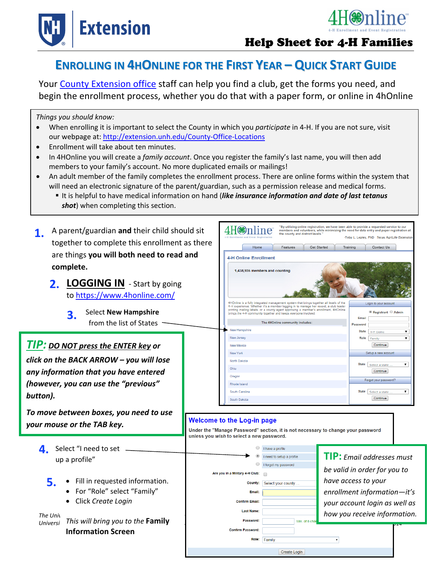



# **ENROLLING IN 4HONLINE FOR THE FIRST YEAR – QUICK START GUIDE**

Your County Extension office staff can help you find a club, get the forms you need, and begin the enrollment process, whether you do that with a paper form, or online in 4hOnline

*Things you should know:* 

- When enrolling it is important to select the County in which you *participate* in 4‐H. If you are not sure, visit our webpage at: http://extension.unh.edu/County-Office-Locations
- Enrollment will take about ten minutes.
- In 4HOnline you will create a *family account*. Once you register the family's last name, you will then add members to your family's account. No more duplicated emails or mailings!
- An adult member of the family completes the enrollment process. There are online forms within the system that will need an electronic signature of the parent/guardian, such as a permission release and medical forms.
	- It is helpful to have medical information on hand (*like insurance information and date of last tetanus shot*) when completing this section.

| A parent/guardian and their child should sit<br>1.<br>together to complete this enrollment as there<br>are things you will both need to read and<br>complete.<br>2. LOGGING IN - Start by going<br>to https://www.4honline.com/<br><b>Select New Hampshire</b><br>3.<br>from the list of States<br><b>TIP:</b> DO NOT press the ENTER key or<br>click on the BACK ARROW - you will lose<br>any information that you have entered |                                                                                                                                                                    | Home<br><b>4-H Online Enrollment</b><br><b>New Hampshire</b><br>New Jersey<br>New Mexico<br>New York<br>North Dakota<br>Ohio | the county and district levels."<br>Features<br><b>Get Started</b><br>1,438,935 members and counting<br>4HOnline is a fully integrated management system that brings together all levels of the<br>4-H experience. Whether it's a member logging in to manage her record, a club leader<br>printing mailing labels, or a county agent approving a member's enrollment, 4HOnline<br>brings the 4-H community together and keeps everyone involved.<br>The 4HOnline community includes: | Training                                                      | "By utilizing online registration, we have been able to provide a requested service to our<br>members and volunteers, while minimizing the need for data entry and paper registration at<br>-Toby L. Lepley, PhD Texas AgriLife Extension<br>Contact Us<br>Login to your account<br>Registrant Admin<br><b>Email</b><br>Password<br><b>State</b><br>4-H Demo<br>Role<br>Family<br>Continue<br>Setup a new account<br>State   Select a state<br>Continue | ۰,<br>$\pmb{\mathrm{v}}$<br>$\pmb{\mathrm{v}}$ |
|----------------------------------------------------------------------------------------------------------------------------------------------------------------------------------------------------------------------------------------------------------------------------------------------------------------------------------------------------------------------------------------------------------------------------------|--------------------------------------------------------------------------------------------------------------------------------------------------------------------|------------------------------------------------------------------------------------------------------------------------------|---------------------------------------------------------------------------------------------------------------------------------------------------------------------------------------------------------------------------------------------------------------------------------------------------------------------------------------------------------------------------------------------------------------------------------------------------------------------------------------|---------------------------------------------------------------|---------------------------------------------------------------------------------------------------------------------------------------------------------------------------------------------------------------------------------------------------------------------------------------------------------------------------------------------------------------------------------------------------------------------------------------------------------|------------------------------------------------|
|                                                                                                                                                                                                                                                                                                                                                                                                                                  |                                                                                                                                                                    | Oregon                                                                                                                       |                                                                                                                                                                                                                                                                                                                                                                                                                                                                                       |                                                               | Forgot your password?                                                                                                                                                                                                                                                                                                                                                                                                                                   |                                                |
| (however, you can use the "previous"                                                                                                                                                                                                                                                                                                                                                                                             |                                                                                                                                                                    | Rhode Island                                                                                                                 |                                                                                                                                                                                                                                                                                                                                                                                                                                                                                       |                                                               |                                                                                                                                                                                                                                                                                                                                                                                                                                                         |                                                |
| button).                                                                                                                                                                                                                                                                                                                                                                                                                         |                                                                                                                                                                    | South Carolina<br>South Dakota                                                                                               |                                                                                                                                                                                                                                                                                                                                                                                                                                                                                       |                                                               | State Select a state<br>Continue                                                                                                                                                                                                                                                                                                                                                                                                                        | ۷.                                             |
| To move between boxes, you need to use<br>your mouse or the TAB key.                                                                                                                                                                                                                                                                                                                                                             | <b>Welcome to the Log-in page</b><br>Under the "Manage Password" section, it is not necessary to change your password<br>unless you wish to select a new password. |                                                                                                                              |                                                                                                                                                                                                                                                                                                                                                                                                                                                                                       |                                                               |                                                                                                                                                                                                                                                                                                                                                                                                                                                         |                                                |
| Select "I need to set<br>4.                                                                                                                                                                                                                                                                                                                                                                                                      |                                                                                                                                                                    |                                                                                                                              | I have a profile                                                                                                                                                                                                                                                                                                                                                                                                                                                                      |                                                               |                                                                                                                                                                                                                                                                                                                                                                                                                                                         |                                                |
| up a profile"                                                                                                                                                                                                                                                                                                                                                                                                                    | I need to setup a profile                                                                                                                                          |                                                                                                                              |                                                                                                                                                                                                                                                                                                                                                                                                                                                                                       |                                                               | <b>TIP:</b> Email addresses must                                                                                                                                                                                                                                                                                                                                                                                                                        |                                                |
|                                                                                                                                                                                                                                                                                                                                                                                                                                  |                                                                                                                                                                    | I forgot my password                                                                                                         |                                                                                                                                                                                                                                                                                                                                                                                                                                                                                       | be valid in order for you to                                  |                                                                                                                                                                                                                                                                                                                                                                                                                                                         |                                                |
|                                                                                                                                                                                                                                                                                                                                                                                                                                  | Are you in a Military 4-H Club:<br>County:<br>Select your county.<br>Email:<br><b>Confirm Email:</b>                                                               |                                                                                                                              |                                                                                                                                                                                                                                                                                                                                                                                                                                                                                       |                                                               |                                                                                                                                                                                                                                                                                                                                                                                                                                                         |                                                |
| 5.<br>• Fill in requested information.                                                                                                                                                                                                                                                                                                                                                                                           |                                                                                                                                                                    |                                                                                                                              |                                                                                                                                                                                                                                                                                                                                                                                                                                                                                       | have access to your                                           |                                                                                                                                                                                                                                                                                                                                                                                                                                                         |                                                |
| For "Role" select "Family"                                                                                                                                                                                                                                                                                                                                                                                                       |                                                                                                                                                                    |                                                                                                                              |                                                                                                                                                                                                                                                                                                                                                                                                                                                                                       | enrollment information-it's                                   |                                                                                                                                                                                                                                                                                                                                                                                                                                                         |                                                |
| Click Create Login                                                                                                                                                                                                                                                                                                                                                                                                               |                                                                                                                                                                    |                                                                                                                              |                                                                                                                                                                                                                                                                                                                                                                                                                                                                                       | your account login as well as<br>how you receive information. |                                                                                                                                                                                                                                                                                                                                                                                                                                                         |                                                |
| The Univ                                                                                                                                                                                                                                                                                                                                                                                                                         |                                                                                                                                                                    | <b>Last Name:</b>                                                                                                            |                                                                                                                                                                                                                                                                                                                                                                                                                                                                                       |                                                               |                                                                                                                                                                                                                                                                                                                                                                                                                                                         |                                                |
| This will bring you to the Family<br><b>Universi</b>                                                                                                                                                                                                                                                                                                                                                                             | Password:                                                                                                                                                          |                                                                                                                              | Min. of 8 cha                                                                                                                                                                                                                                                                                                                                                                                                                                                                         |                                                               |                                                                                                                                                                                                                                                                                                                                                                                                                                                         |                                                |
| <b>Information Screen</b>                                                                                                                                                                                                                                                                                                                                                                                                        |                                                                                                                                                                    | <b>Confirm Password:</b>                                                                                                     |                                                                                                                                                                                                                                                                                                                                                                                                                                                                                       |                                                               |                                                                                                                                                                                                                                                                                                                                                                                                                                                         |                                                |
|                                                                                                                                                                                                                                                                                                                                                                                                                                  |                                                                                                                                                                    |                                                                                                                              | Role: Family                                                                                                                                                                                                                                                                                                                                                                                                                                                                          |                                                               |                                                                                                                                                                                                                                                                                                                                                                                                                                                         |                                                |
|                                                                                                                                                                                                                                                                                                                                                                                                                                  |                                                                                                                                                                    |                                                                                                                              | <b>Create Login</b>                                                                                                                                                                                                                                                                                                                                                                                                                                                                   |                                                               |                                                                                                                                                                                                                                                                                                                                                                                                                                                         |                                                |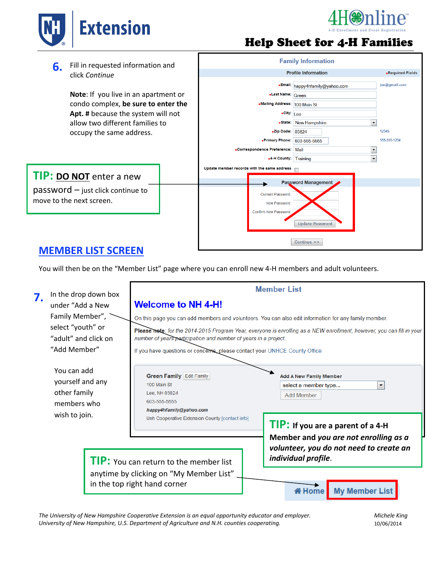



**6.** Fill in requested information and click *Continue*

> **Note**: If you live in an apartment or condo complex, **be sure to enter the Apt. #** because the system will not allow two different families to occupy the same address.

## **TIP: DO NOT** enter a new

.<br>move to the next screen. password – just click continue to



**Family Information** 

## **MEMBER LIST SCREEN**

You will then be on the "Member List" page where you can enroll new 4‐H members and adult volunteers.

| 7.                                                                      | In the drop down box                                           | <b>Member List</b>                                                                                                                                                                                                                                                                                                             |                                                                                                         |  |  |  |  |
|-------------------------------------------------------------------------|----------------------------------------------------------------|--------------------------------------------------------------------------------------------------------------------------------------------------------------------------------------------------------------------------------------------------------------------------------------------------------------------------------|---------------------------------------------------------------------------------------------------------|--|--|--|--|
|                                                                         | under "Add a New                                               | <b>Welcome to NH 4-H!</b><br>On this page you can add members and volunteers. You can also edit information for any family member.<br>Please note: for the 2014-2015 Program Year, everyone is enrolling as a NEW enrollment, however, you can fill in your<br>number of years participation and number of years in a project. |                                                                                                         |  |  |  |  |
|                                                                         | Family Member",                                                |                                                                                                                                                                                                                                                                                                                                |                                                                                                         |  |  |  |  |
|                                                                         | select "youth" or<br>"adult" and click on                      |                                                                                                                                                                                                                                                                                                                                |                                                                                                         |  |  |  |  |
|                                                                         | "Add Member"                                                   | If you have questions or concerns, please contact your UNHCE County Office                                                                                                                                                                                                                                                     |                                                                                                         |  |  |  |  |
|                                                                         | You can add<br>yourself and any<br>other family<br>members who | <b>Green Family Edit Family</b><br>100 Main St<br>Lee, NH 03824<br>603-555-5555<br>happy4hfamily@yahoo.com                                                                                                                                                                                                                     | <b>Add A New Family Member</b><br>$\blacktriangledown$<br>select a member type<br><b>Add Member</b>     |  |  |  |  |
| wish to join.                                                           |                                                                | Unh Cooperative Extension County [contact info]                                                                                                                                                                                                                                                                                | TIP: If you are a parent of a 4-H                                                                       |  |  |  |  |
|                                                                         |                                                                | <b>TIP:</b> You can return to the member list                                                                                                                                                                                                                                                                                  | Member and you are not enrolling as a<br>volunteer, you do not need to create an<br>individual profile. |  |  |  |  |
| anytime by clicking on "My Member List"<br>in the top right hand corner |                                                                |                                                                                                                                                                                                                                                                                                                                | <b>My Member List</b><br><b>X</b> Home                                                                  |  |  |  |  |

The University of New Hampshire Cooperative Extension is an equal opportunity educator and employer. Michele King *University of New Hampshire, U.S. Department of Agriculture and N.H. counties cooperating.* 10/06/2014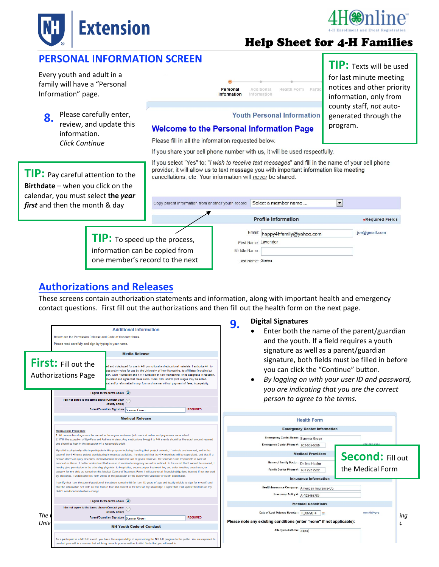![](_page_2_Picture_0.jpeg)

![](_page_2_Picture_1.jpeg)

### **PERSONAL INFORMATION SCREEN**

Every youth and adult in a family will have a "Personal Information" page.

**8.** Please carefully enter, review, and update this information. *Click Continue*

Health Form Partic Personal Additional Information Information

If you select "Yes" to: "I wish to receive text messages" and fill in the name of your cell phone

**TIP:** Texts will be used for last minute meeting notices and other priority information, only from county staff, *not* auto‐ generated through the program.

# **Youth Personal Information**

provider, it will allow us to text message you with important information like meeting

#### **Welcome to the Personal Information Page**

Please fill in all the information requested below.

cancellations, etc. Your information will never be shared.

If you share your cell phone number with us, it will be used respectfully.

**TIP:** Pay careful attention to the **Birthdate** – when you click on the calendar, you must select **the** *year first* and then the month & day

> **TIP:** To speed up the process, information can be copied from one member's record to the next

![](_page_2_Picture_14.jpeg)

### **Authorizations and Releases**

These screens contain authorization statements and information, along with important health and emergency contact questions. First fill out the authorizations and then fill out the health form on the next page.

![](_page_2_Figure_17.jpeg)

#### **Digital Signatures 9.**

- Enter both the name of the parent/guardian and the youth. If a field requires a youth signature as well as a parent/guardian signature, both fields must be filled in before you can click the "Continue" button.
- *By logging on with your user ID and password, you are indicating that you are the correct person to agree to the terms.*

![](_page_2_Figure_21.jpeg)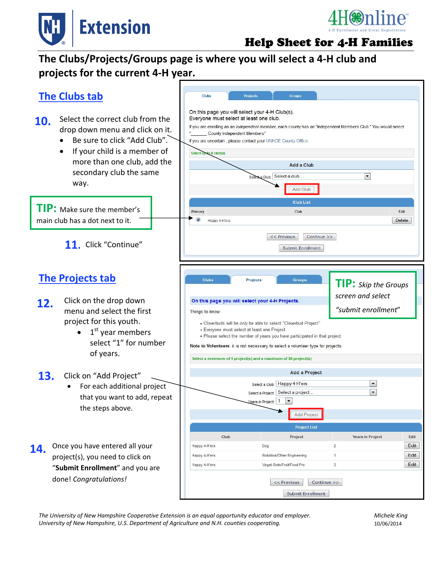![](_page_3_Picture_0.jpeg)

![](_page_3_Picture_1.jpeg)

# **The Clubs/Projects/Groups page is where you will select a 4‐H club and projects for the current 4‐H year.**

![](_page_3_Figure_4.jpeg)

The University of New Hampshire Cooperative Extension is an equal opportunity educator and employer. Michele King *University of New Hampshire, U.S. Department of Agriculture and N.H. counties cooperating.* 10/06/2014